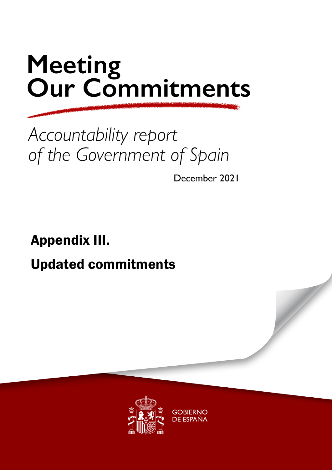### Accountability report of the Government of Spain

December 2021

## Appendix III. Updated commitments

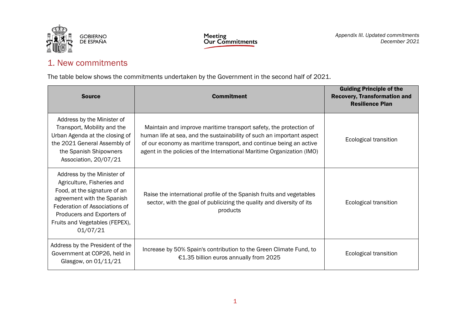

#### 1. New commitments

The table below shows the commitments undertaken by the Government in the second half of 2021.

| <b>Source</b>                                                                                                                                                                                                                       | <b>Commitment</b>                                                                                                                                                                                                                                                                          | <b>Guiding Principle of the</b><br><b>Recovery, Transformation and</b><br><b>Resilience Plan</b> |
|-------------------------------------------------------------------------------------------------------------------------------------------------------------------------------------------------------------------------------------|--------------------------------------------------------------------------------------------------------------------------------------------------------------------------------------------------------------------------------------------------------------------------------------------|--------------------------------------------------------------------------------------------------|
| Address by the Minister of<br>Transport, Mobility and the<br>Urban Agenda at the closing of<br>the 2021 General Assembly of<br>the Spanish Shipowners<br>Association, 20/07/21                                                      | Maintain and improve maritime transport safety, the protection of<br>human life at sea, and the sustainability of such an important aspect<br>of our economy as maritime transport, and continue being an active<br>agent in the policies of the International Maritime Organization (IMO) | Ecological transition                                                                            |
| Address by the Minister of<br>Agriculture, Fisheries and<br>Food, at the signature of an<br>agreement with the Spanish<br>Federation of Associations of<br>Producers and Exporters of<br>Fruits and Vegetables (FEPEX),<br>01/07/21 | Raise the international profile of the Spanish fruits and vegetables<br>sector, with the goal of publicizing the quality and diversity of its<br>products                                                                                                                                  | Ecological transition                                                                            |
| Address by the President of the<br>Government at COP26, held in<br>Glasgow, on 01/11/21                                                                                                                                             | Increase by 50% Spain's contribution to the Green Climate Fund, to<br>€1.35 billion euros annually from 2025                                                                                                                                                                               | Ecological transition                                                                            |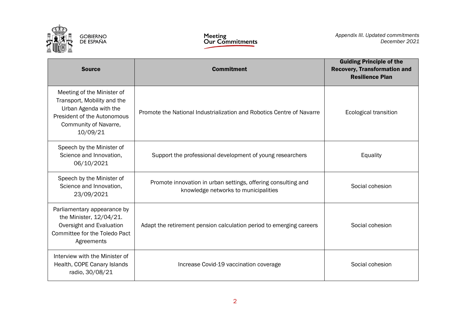

| <b>Source</b>                                                                                                                                          | <b>Commitment</b>                                                                                     | <b>Guiding Principle of the</b><br><b>Recovery, Transformation and</b><br><b>Resilience Plan</b> |
|--------------------------------------------------------------------------------------------------------------------------------------------------------|-------------------------------------------------------------------------------------------------------|--------------------------------------------------------------------------------------------------|
| Meeting of the Minister of<br>Transport, Mobility and the<br>Urban Agenda with the<br>President of the Autonomous<br>Community of Navarre,<br>10/09/21 | Promote the National Industrialization and Robotics Centre of Navarre                                 | Ecological transition                                                                            |
| Speech by the Minister of<br>Science and Innovation,<br>06/10/2021                                                                                     | Support the professional development of young researchers                                             | Equality                                                                                         |
| Speech by the Minister of<br>Science and Innovation,<br>23/09/2021                                                                                     | Promote innovation in urban settings, offering consulting and<br>knowledge networks to municipalities | Social cohesion                                                                                  |
| Parliamentary appearance by<br>the Minister, 12/04/21.<br>Oversight and Evaluation<br>Committee for the Toledo Pact<br>Agreements                      | Adapt the retirement pension calculation period to emerging careers                                   | Social cohesion                                                                                  |
| Interview with the Minister of<br>Health, COPE Canary Islands<br>radio, 30/08/21                                                                       | Increase Covid-19 vaccination coverage                                                                | Social cohesion                                                                                  |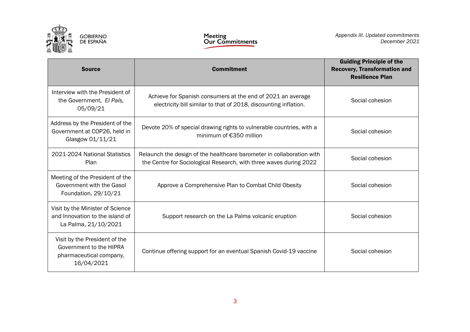

| <b>Source</b>                                                                                     | <b>Commitment</b>                                                                                                                           | <b>Guiding Principle of the</b><br><b>Recovery, Transformation and</b><br><b>Resilience Plan</b> |
|---------------------------------------------------------------------------------------------------|---------------------------------------------------------------------------------------------------------------------------------------------|--------------------------------------------------------------------------------------------------|
| Interview with the President of<br>the Government, El País,<br>05/09/21                           | Achieve for Spanish consumers at the end of 2021 an average<br>electricity bill similar to that of 2018, discounting inflation.             | Social cohesion                                                                                  |
| Address by the President of the<br>Government at COP26, held in<br>Glasgow 01/11/21               | Devote 20% of special drawing rights to vulnerable countries, with a<br>minimum of €350 million                                             | Social cohesion                                                                                  |
| 2021-2024 National Statistics<br>Plan                                                             | Relaunch the design of the healthcare barometer in collaboration with<br>the Centre for Sociological Research, with three waves during 2022 | Social cohesion                                                                                  |
| Meeting of the President of the<br>Government with the Gasol<br>Foundation, 29/10/21              | Approve a Comprehensive Plan to Combat Child Obesity                                                                                        | Social cohesion                                                                                  |
| Visit by the Minister of Science<br>and Innovation to the island of<br>La Palma, 21/10/2021       | Support research on the La Palma volcanic eruption                                                                                          | Social cohesion                                                                                  |
| Visit by the President of the<br>Government to the HIPRA<br>pharmaceutical company,<br>16/04/2021 | Continue offering support for an eventual Spanish Covid-19 vaccine                                                                          | Social cohesion                                                                                  |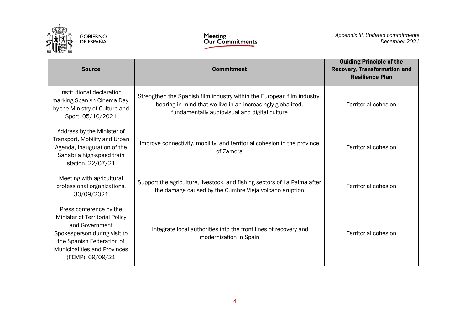

| <b>Source</b>                                                                                                                                                                                | <b>Commitment</b>                                                                                                                                                                       | <b>Guiding Principle of the</b><br><b>Recovery, Transformation and</b><br><b>Resilience Plan</b> |
|----------------------------------------------------------------------------------------------------------------------------------------------------------------------------------------------|-----------------------------------------------------------------------------------------------------------------------------------------------------------------------------------------|--------------------------------------------------------------------------------------------------|
| Institutional declaration<br>marking Spanish Cinema Day,<br>by the Ministry of Culture and<br>Sport, 05/10/2021                                                                              | Strengthen the Spanish film industry within the European film industry,<br>bearing in mind that we live in an increasingly globalized,<br>fundamentally audiovisual and digital culture | Territorial cohesion                                                                             |
| Address by the Minister of<br>Transport, Mobility and Urban<br>Agenda, inauguration of the<br>Sanabria high-speed train<br>station, 22/07/21                                                 | Improve connectivity, mobility, and territorial cohesion in the province<br>of Zamora                                                                                                   | <b>Territorial cohesion</b>                                                                      |
| Meeting with agricultural<br>professional organizations,<br>30/09/2021                                                                                                                       | Support the agriculture, livestock, and fishing sectors of La Palma after<br>the damage caused by the Cumbre Vieja volcano eruption                                                     | <b>Territorial cohesion</b>                                                                      |
| Press conference by the<br>Minister of Territorial Policy<br>and Government<br>Spokesperson during visit to<br>the Spanish Federation of<br>Municipalities and Provinces<br>(FEMP), 09/09/21 | Integrate local authorities into the front lines of recovery and<br>modernization in Spain                                                                                              | <b>Territorial cohesion</b>                                                                      |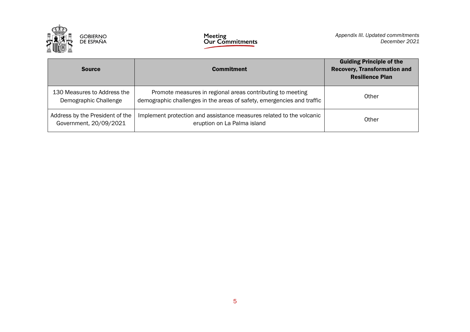

| <b>Source</b>                                             | <b>Commitment</b>                                                                                                                    | <b>Guiding Principle of the</b><br><b>Recovery, Transformation and</b><br><b>Resilience Plan</b> |
|-----------------------------------------------------------|--------------------------------------------------------------------------------------------------------------------------------------|--------------------------------------------------------------------------------------------------|
| 130 Measures to Address the<br>Demographic Challenge      | Promote measures in regional areas contributing to meeting<br>demographic challenges in the areas of safety, emergencies and traffic | Other                                                                                            |
| Address by the President of the<br>Government, 20/09/2021 | Implement protection and assistance measures related to the volcanic<br>eruption on La Palma island                                  | Other                                                                                            |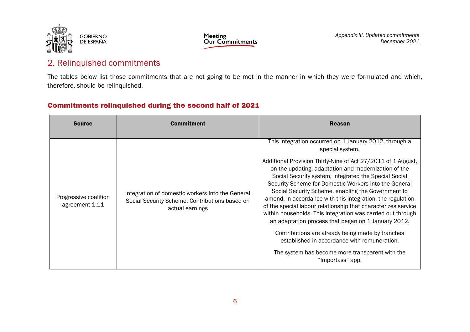



*Appendix III. Updated commitments December 2021*

#### 2. Relinquished commitments

The tables below list those commitments that are not going to be met in the manner in which they were formulated and which, therefore, should be relinquished.

#### Commitments relinquished during the second half of 2021

| <b>Source</b>                           | <b>Commitment</b>                                                                                                     | <b>Reason</b>                                                                                                                                                                                                                                                                                                                                                                                                                                                                                                                                                                                                                                                                                                                      |
|-----------------------------------------|-----------------------------------------------------------------------------------------------------------------------|------------------------------------------------------------------------------------------------------------------------------------------------------------------------------------------------------------------------------------------------------------------------------------------------------------------------------------------------------------------------------------------------------------------------------------------------------------------------------------------------------------------------------------------------------------------------------------------------------------------------------------------------------------------------------------------------------------------------------------|
| Progressive coalition<br>agreement 1.11 | Integration of domestic workers into the General<br>Social Security Scheme. Contributions based on<br>actual earnings | This integration occurred on 1 January 2012, through a<br>special system.<br>Additional Provision Thirty-Nine of Act 27/2011 of 1 August,<br>on the updating, adaptation and modernization of the<br>Social Security system, integrated the Special Social<br>Security Scheme for Domestic Workers into the General<br>Social Security Scheme, enabling the Government to<br>amend, in accordance with this integration, the regulation<br>of the special labour relationship that characterizes service<br>within households. This integration was carried out through<br>an adaptation process that began on 1 January 2012.<br>Contributions are already being made by tranches<br>established in accordance with remuneration. |
|                                         |                                                                                                                       | The system has become more transparent with the<br>"Importass" app.                                                                                                                                                                                                                                                                                                                                                                                                                                                                                                                                                                                                                                                                |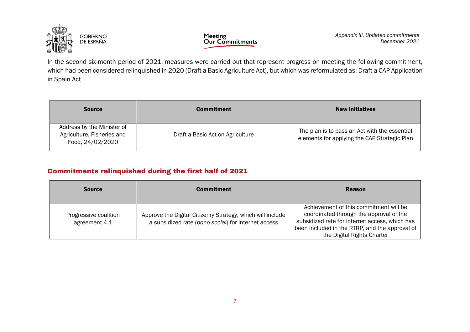

In the second six-month period of 2021, measures were carried out that represent progress on meeting the following commitment, which had been considered relinquished in 2020 (Draft a Basic Agriculture Act), but which was reformulated as: Draft a CAP Application in Spain Act

| <b>Source</b>                                                                | <b>Commitment</b>                | <b>New initiatives</b>                                                                        |
|------------------------------------------------------------------------------|----------------------------------|-----------------------------------------------------------------------------------------------|
| Address by the Minister of<br>Agriculture, Fisheries and<br>Food, 24/02/2020 | Draft a Basic Act on Agriculture | The plan is to pass an Act with the essential<br>elements for applying the CAP Strategic Plan |

#### Commitments relinquished during the first half of 2021

| <b>Source</b>                          | <b>Commitment</b>                                                                                                 | <b>Reason</b>                                                                                                                                                                                                       |
|----------------------------------------|-------------------------------------------------------------------------------------------------------------------|---------------------------------------------------------------------------------------------------------------------------------------------------------------------------------------------------------------------|
| Progressive coalition<br>agreement 4.1 | Approve the Digital Citizenry Strategy, which will include<br>a subsidized rate (bono social) for internet access | Achievement of this commitment will be<br>coordinated through the approval of the<br>subsidized rate for internet access, which has<br>been included in the RTRP, and the approval of<br>the Digital Rights Charter |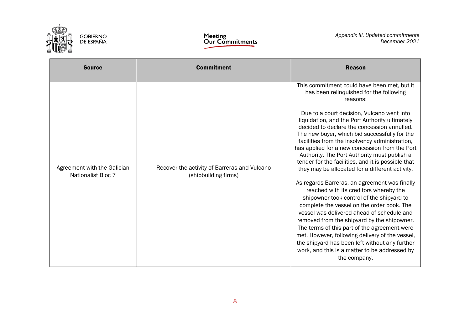

| <b>Source</b>                                            | <b>Commitment</b>                                                    | <b>Reason</b>                                                                                                                                                                                                                                                                                                                                                                                                                                                                                                                                                                                                                                                                                                                                                                                                                                                                                                                                                                                                                                                            |
|----------------------------------------------------------|----------------------------------------------------------------------|--------------------------------------------------------------------------------------------------------------------------------------------------------------------------------------------------------------------------------------------------------------------------------------------------------------------------------------------------------------------------------------------------------------------------------------------------------------------------------------------------------------------------------------------------------------------------------------------------------------------------------------------------------------------------------------------------------------------------------------------------------------------------------------------------------------------------------------------------------------------------------------------------------------------------------------------------------------------------------------------------------------------------------------------------------------------------|
| Agreement with the Galician<br><b>Nationalist Bloc 7</b> | Recover the activity of Barreras and Vulcano<br>(shipbuilding firms) | This commitment could have been met, but it<br>has been relinquished for the following<br>reasons:<br>Due to a court decision, Vulcano went into<br>liquidation, and the Port Authority ultimately<br>decided to declare the concession annulled.<br>The new buyer, which bid successfully for the<br>facilities from the insolvency administration,<br>has applied for a new concession from the Port<br>Authority. The Port Authority must publish a<br>tender for the facilities, and it is possible that<br>they may be allocated for a different activity.<br>As regards Barreras, an agreement was finally<br>reached with its creditors whereby the<br>shipowner took control of the shipyard to<br>complete the vessel on the order book. The<br>vessel was delivered ahead of schedule and<br>removed from the shipyard by the shipowner.<br>The terms of this part of the agreement were<br>met. However, following delivery of the vessel,<br>the shipyard has been left without any further<br>work, and this is a matter to be addressed by<br>the company. |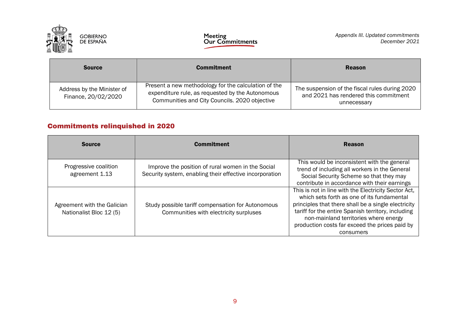

| <b>Source</b>                                     | <b>Commitment</b>                                                                                                                                         | <b>Reason</b>                                                                                          |
|---------------------------------------------------|-----------------------------------------------------------------------------------------------------------------------------------------------------------|--------------------------------------------------------------------------------------------------------|
| Address by the Minister of<br>Finance, 20/02/2020 | Present a new methodology for the calculation of the<br>expenditure rule, as requested by the Autonomous<br>Communities and City Councils. 2020 objective | The suspension of the fiscal rules during 2020<br>and 2021 has rendered this commitment<br>unnecessary |

#### Commitments relinquished in 2020

| <b>Source</b>                                          | <b>Commitment</b>                                                                                            | <b>Reason</b>                                                                                                                                                                                                                                                                                                           |
|--------------------------------------------------------|--------------------------------------------------------------------------------------------------------------|-------------------------------------------------------------------------------------------------------------------------------------------------------------------------------------------------------------------------------------------------------------------------------------------------------------------------|
| Progressive coalition<br>agreement 1.13                | Improve the position of rural women in the Social<br>Security system, enabling their effective incorporation | This would be inconsistent with the general<br>trend of including all workers in the General<br>Social Security Scheme so that they may<br>contribute in accordance with their earnings                                                                                                                                 |
| Agreement with the Galician<br>Nationalist Bloc 12 (5) | Study possible tariff compensation for Autonomous<br>Communities with electricity surpluses                  | This is not in line with the Electricity Sector Act,<br>which sets forth as one of its fundamental<br>principles that there shall be a single electricity<br>tariff for the entire Spanish territory, including<br>non-mainland territories where energy<br>production costs far exceed the prices paid by<br>consumers |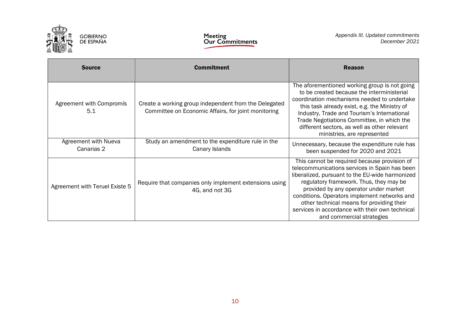

| <b>Source</b>                      | <b>Commitment</b>                                                                                            | <b>Reason</b>                                                                                                                                                                                                                                                                                                                                                                                                     |
|------------------------------------|--------------------------------------------------------------------------------------------------------------|-------------------------------------------------------------------------------------------------------------------------------------------------------------------------------------------------------------------------------------------------------------------------------------------------------------------------------------------------------------------------------------------------------------------|
| Agreement with Compromís<br>5.1    | Create a working group independent from the Delegated<br>Committee on Economic Affairs, for joint monitoring | The aforementioned working group is not going<br>to be created because the interministerial<br>coordination mechanisms needed to undertake<br>this task already exist, e.g. the Ministry of<br>Industry, Trade and Tourism's International<br>Trade Negotiations Committee, in which the<br>different sectors, as well as other relevant<br>ministries, are represented                                           |
| Agreement with Nueva<br>Canarias 2 | Study an amendment to the expenditure rule in the<br>Canary Islands                                          | Unnecessary, because the expenditure rule has<br>been suspended for 2020 and 2021                                                                                                                                                                                                                                                                                                                                 |
| Agreement with Teruel Existe 5     | Require that companies only implement extensions using<br>4G, and not 3G                                     | This cannot be required because provision of<br>telecommunications services in Spain has been<br>liberalized, pursuant to the EU-wide harmonized<br>regulatory framework. Thus, they may be<br>provided by any operator under market<br>conditions. Operators implement networks and<br>other technical means for providing their<br>services in accordance with their own technical<br>and commercial strategies |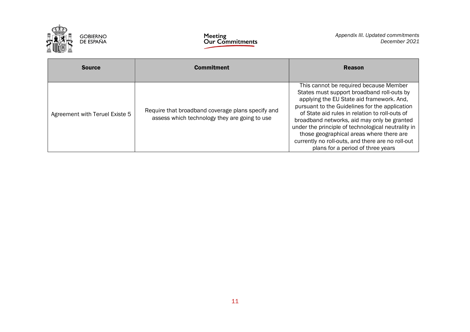

| <b>Source</b>                  | <b>Commitment</b>                                                                                  | <b>Reason</b>                                                                                                                                                                                                                                                                                                                                                                                                                                                                    |
|--------------------------------|----------------------------------------------------------------------------------------------------|----------------------------------------------------------------------------------------------------------------------------------------------------------------------------------------------------------------------------------------------------------------------------------------------------------------------------------------------------------------------------------------------------------------------------------------------------------------------------------|
| Agreement with Teruel Existe 5 | Require that broadband coverage plans specify and<br>assess which technology they are going to use | This cannot be required because Member<br>States must support broadband roll-outs by<br>applying the EU State aid framework. And,<br>pursuant to the Guidelines for the application<br>of State aid rules in relation to roll-outs of<br>broadband networks, aid may only be granted<br>under the principle of technological neutrality in<br>those geographical areas where there are<br>currently no roll-outs, and there are no roll-out<br>plans for a period of three years |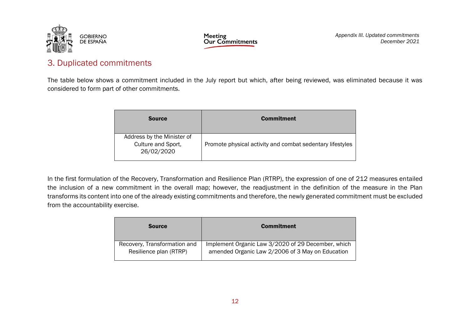



*Appendix III. Updated commitments December 2021*

#### 3. Duplicated commitments

The table below shows a commitment included in the July report but which, after being reviewed, was eliminated because it was considered to form part of other commitments.

| <b>Source</b>                                                  | <b>Commitment</b>                                         |
|----------------------------------------------------------------|-----------------------------------------------------------|
| Address by the Minister of<br>Culture and Sport,<br>26/02/2020 | Promote physical activity and combat sedentary lifestyles |

In the first formulation of the Recovery, Transformation and Resilience Plan (RTRP), the expression of one of 212 measures entailed the inclusion of a new commitment in the overall map; however, the readjustment in the definition of the measure in the Plan transforms its content into one of the already existing commitments and therefore, the newly generated commitment must be excluded from the accountability exercise.

| <b>Source</b>                | <b>Commitment</b>                                  |
|------------------------------|----------------------------------------------------|
| Recovery, Transformation and | Implement Organic Law 3/2020 of 29 December, which |
| Resilience plan (RTRP)       | amended Organic Law 2/2006 of 3 May on Education   |